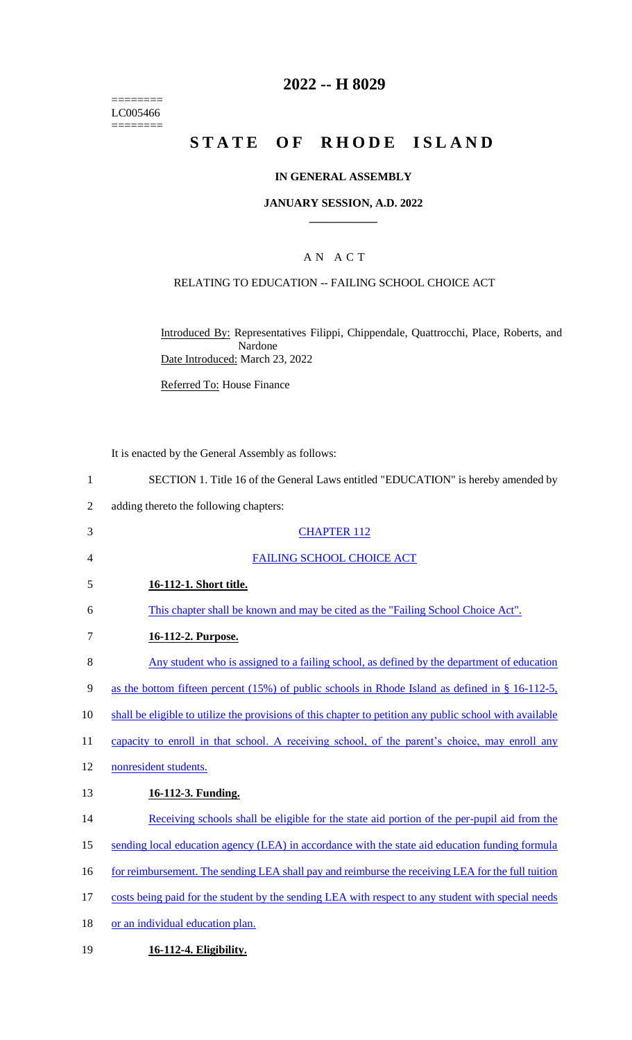======== LC005466  $=$ 

# **2022 -- H 8029**

# **STATE OF RHODE ISLAND**

### **IN GENERAL ASSEMBLY**

### **JANUARY SESSION, A.D. 2022 \_\_\_\_\_\_\_\_\_\_\_\_**

# A N A C T

### RELATING TO EDUCATION -- FAILING SCHOOL CHOICE ACT

Introduced By: Representatives Filippi, Chippendale, Quattrocchi, Place, Roberts, and Nardone Date Introduced: March 23, 2022

Referred To: House Finance

|                | It is enacted by the General Assembly as follows:                                                        |
|----------------|----------------------------------------------------------------------------------------------------------|
| $\mathbf{1}$   | SECTION 1. Title 16 of the General Laws entitled "EDUCATION" is hereby amended by                        |
| $\overline{2}$ | adding thereto the following chapters:                                                                   |
| 3              | <b>CHAPTER 112</b>                                                                                       |
| $\overline{4}$ | <b>FAILING SCHOOL CHOICE ACT</b>                                                                         |
| 5              | 16-112-1. Short title.                                                                                   |
| 6              | This chapter shall be known and may be cited as the "Failing School Choice Act".                         |
| $\tau$         | 16-112-2. Purpose.                                                                                       |
| $8\,$          | Any student who is assigned to a failing school, as defined by the department of education               |
| 9              | as the bottom fifteen percent (15%) of public schools in Rhode Island as defined in § 16-112-5,          |
| 10             | shall be eligible to utilize the provisions of this chapter to petition any public school with available |
| 11             | capacity to enroll in that school. A receiving school, of the parent's choice, may enroll any            |
| 12             | nonresident students.                                                                                    |
| 13             | 16-112-3. Funding.                                                                                       |
| 14             | Receiving schools shall be eligible for the state aid portion of the per-pupil aid from the              |
| 15             | sending local education agency (LEA) in accordance with the state aid education funding formula          |
| 16             | for reimbursement. The sending LEA shall pay and reimburse the receiving LEA for the full tuition        |
| 17             | costs being paid for the student by the sending LEA with respect to any student with special needs       |
| 18             | or an individual education plan.                                                                         |
| 19             | 16-112-4. Eligibility.                                                                                   |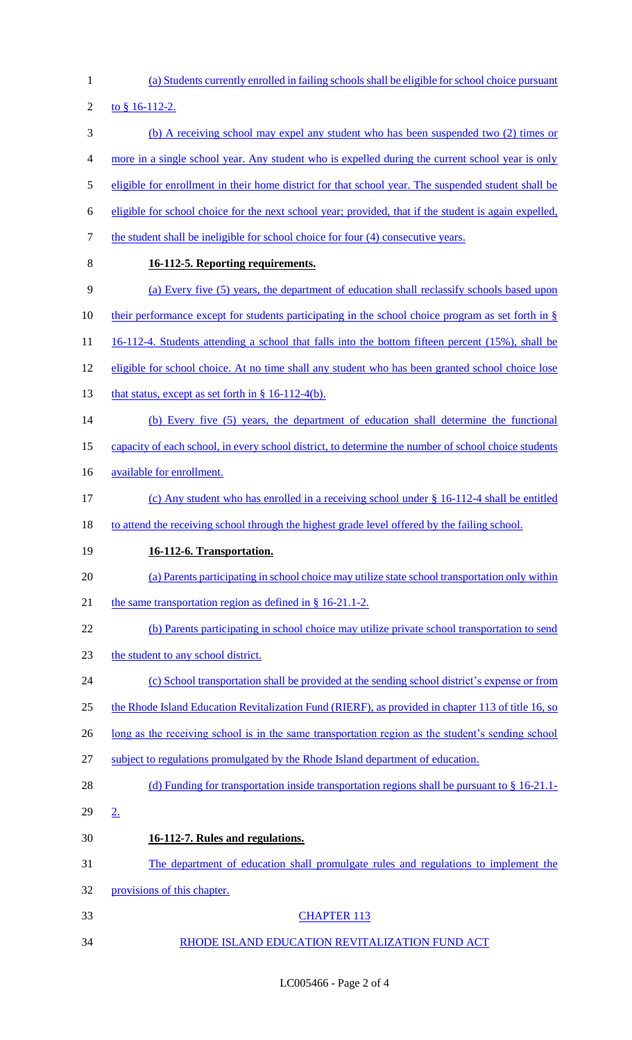- (a) Students currently enrolled in failing schools shall be eligible for school choice pursuant 2 to  $§$  16-112-2. (b) A receiving school may expel any student who has been suspended two (2) times or more in a single school year. Any student who is expelled during the current school year is only eligible for enrollment in their home district for that school year. The suspended student shall be eligible for school choice for the next school year; provided, that if the student is again expelled, 7 the student shall be ineligible for school choice for four (4) consecutive years. **16-112-5. Reporting requirements.**  (a) Every five (5) years, the department of education shall reclassify schools based upon 10 their performance except for students participating in the school choice program as set forth in § 11 16-112-4. Students attending a school that falls into the bottom fifteen percent (15%), shall be eligible for school choice. At no time shall any student who has been granted school choice lose 13 that status, except as set forth in  $\S$  16-112-4(b). (b) Every five (5) years, the department of education shall determine the functional capacity of each school, in every school district, to determine the number of school choice students available for enrollment. (c) Any student who has enrolled in a receiving school under § 16-112-4 shall be entitled to attend the receiving school through the highest grade level offered by the failing school. **16-112-6. Transportation.**  (a) Parents participating in school choice may utilize state school transportation only within 21 the same transportation region as defined in § 16-21.1-2. (b) Parents participating in school choice may utilize private school transportation to send the student to any school district. (c) School transportation shall be provided at the sending school district's expense or from the Rhode Island Education Revitalization Fund (RIERF), as provided in chapter 113 of title 16, so 26 long as the receiving school is in the same transportation region as the student's sending school subject to regulations promulgated by the Rhode Island department of education. 28 (d) Funding for transportation inside transportation regions shall be pursuant to § 16-21.1- 2. **16-112-7. Rules and regulations.**  The department of education shall promulgate rules and regulations to implement the provisions of this chapter. CHAPTER 113
- 34 RHODE ISLAND EDUCATION REVITALIZATION FUND ACT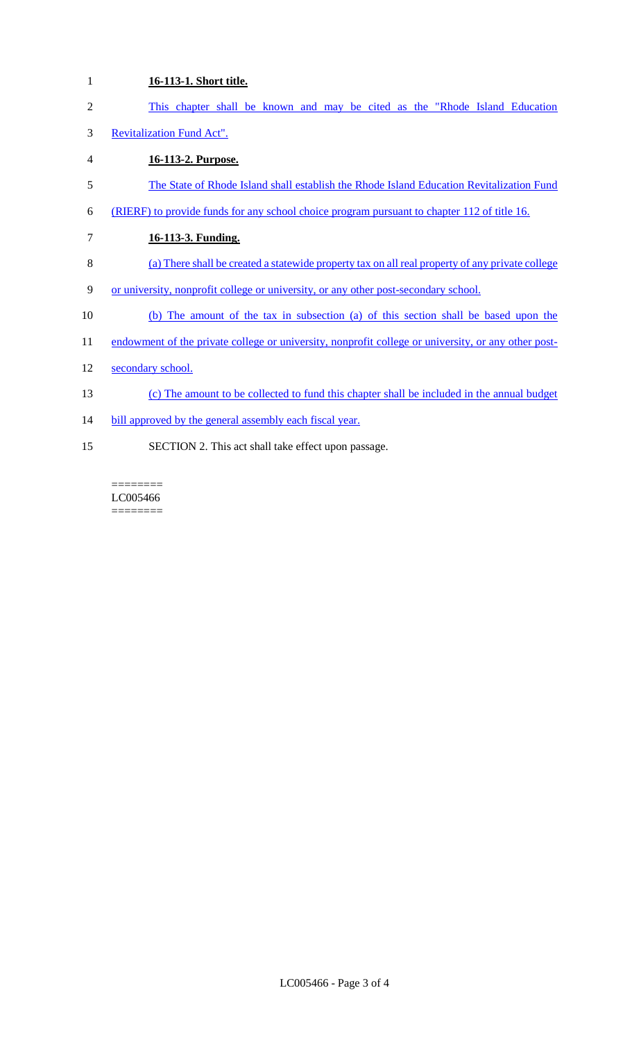| $\mathbf{1}$   | 16-113-1. Short title.                                                                              |
|----------------|-----------------------------------------------------------------------------------------------------|
| $\overline{2}$ | This chapter shall be known and may be cited as the "Rhode Island Education"                        |
| 3              | <b>Revitalization Fund Act".</b>                                                                    |
| 4              | 16-113-2. Purpose.                                                                                  |
| 5              | The State of Rhode Island shall establish the Rhode Island Education Revitalization Fund            |
| 6              | (RIERF) to provide funds for any school choice program pursuant to chapter 112 of title 16.         |
| 7              | 16-113-3. Funding.                                                                                  |
| 8              | (a) There shall be created a statewide property tax on all real property of any private college     |
| 9              | or university, nonprofit college or university, or any other post-secondary school.                 |
| 10             | (b) The amount of the tax in subsection (a) of this section shall be based upon the                 |
| 11             | endowment of the private college or university, nonprofit college or university, or any other post- |
| 12             | secondary school.                                                                                   |
| 13             | (c) The amount to be collected to fund this chapter shall be included in the annual budget          |
| 14             | bill approved by the general assembly each fiscal year.                                             |
| 15             | SECTION 2. This act shall take effect upon passage.                                                 |
|                |                                                                                                     |

======== LC005466  $\begin{minipage}{0.9\linewidth} \begin{tabular}{l} \hline \textbf{r} & \textbf{r} \\ \hline \textbf{r} & \textbf{r} \\ \hline \textbf{r} & \textbf{r} \\ \hline \textbf{r} & \textbf{r} \\ \hline \textbf{r} & \textbf{r} \\ \hline \textbf{r} & \textbf{r} \\ \hline \textbf{r} & \textbf{r} \\ \hline \textbf{r} & \textbf{r} \\ \hline \textbf{r} & \textbf{r} \\ \hline \textbf{r} & \textbf{r} \\ \hline \textbf{r} & \textbf{r} \\ \hline \textbf{r} & \text$